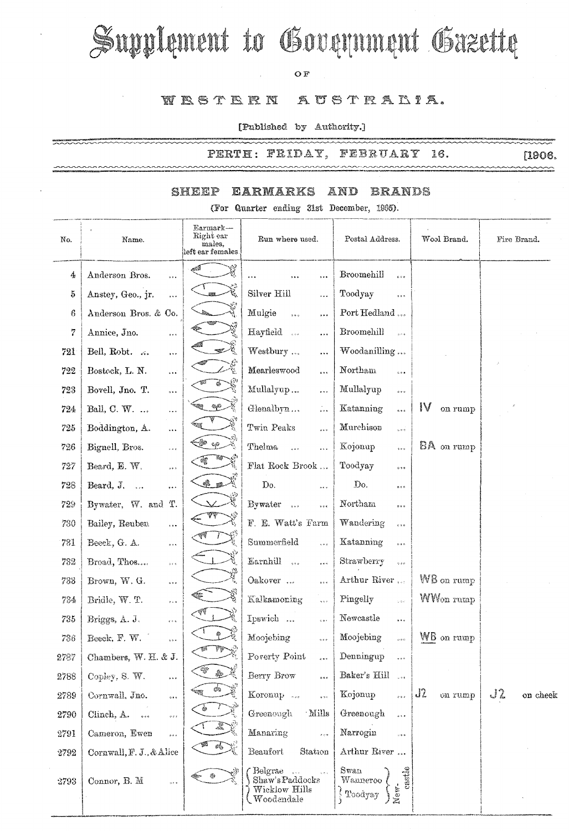# Supplement to Government Gazette

#### OF

#### WESTERN AUSTRALIA.

[Published by Authority.]

PERTH: FRIDAY, FEBRUARY 16. ~~~~~

ระเบาะหลายคลองเทคนทางเทคนทางเทคนที่ที่เป็นการเทคนที่ที่เป็นการเป็นการเทคนที่สุดในการเทคนที่สุดในการเทคนที่สุดใ<br>สำหรับสำหรับสำหรับสำหรับสำหรับสำหรับสำหรับสำหรับสำหรับสำหรับสำหรับสำหรับสำหรับสำหรับสำหรับสำหรับสำหรับสำหรับส

~~~~

#### **EARMARKS AND** SHEEP **BRANDS**

(For Quarter ending 31st December, 1995).

| No.  | Name.                                            | Earmark—<br>Right ear<br>males,<br>left ear females. | Run where used.                                                                               | Postal Address.                                  | Wool Brand.           | Fire Brand.    |
|------|--------------------------------------------------|------------------------------------------------------|-----------------------------------------------------------------------------------------------|--------------------------------------------------|-----------------------|----------------|
| 4    | Anderson Bros.<br>$\cdots$                       |                                                      | <br>                                                                                          | Broomehill<br>$\ddot{\phantom{0}}$               |                       |                |
| 5    | Anstey, Geo., jr.<br>$\ddot{\phantom{a}}$        | Q                                                    | Silver Hill<br>                                                                               | Toodyay<br>$\circ\circ\circ$                     |                       |                |
| 6    | Anderson Bros. & Co.                             |                                                      | Mulgie<br>5.5.9<br>                                                                           | Port Hedland                                     |                       |                |
| 7    | Annice, Jno.<br>$\frac{1}{2}$ , $\frac{1}{2}$    |                                                      | Hayfield<br>$\ldots$                                                                          | Broomehill<br>508                                |                       |                |
| 721  | Bell, Robt.<br>$\ldots$                          |                                                      | Westbury<br>$\cdots$                                                                          | Woodanilling                                     |                       |                |
| 722  | Bostock, L. N.<br>$\ddotsc$                      | 德                                                    | Mearleswood<br>$\cdots$                                                                       | Northam<br>$\bar{a}$ is a                        |                       |                |
| 723  | Bovell, Jno. T.<br>5.5.5                         |                                                      | Mullalyup<br>$\frac{1}{2}$                                                                    | Mullalyup<br>$\phi \circ \phi$                   |                       |                |
| 724  | Ball, C. W.<br>$\ddotsc$                         | $\otimes \mathbb{C}$                                 | Glenalbyn<br>$\frac{1}{\sqrt{2}}$                                                             | Katanning<br>$\ddot{\circ}$                      | IV<br>on rump         |                |
| 725  | Boddington, A.<br>$\ddotsc$                      |                                                      | Twin Peaks<br>500                                                                             | Murchison<br>$\frac{1}{2}$ o $\frac{1}{2}$       |                       |                |
| 726  | Bignell, Bros.<br>$\ldots$                       | $\mathcal{C}_\mathrm{q} G$                           | Thelma<br>$\ddot{\phantom{0}}$<br>$\cdots$                                                    | Kojonup<br>100                                   | BA on rump            |                |
| 727  | Beard, E. W.<br>$\bar{a}$ e $\bar{a}$            |                                                      | Flat Rock Brook                                                                               | Toodyay<br>0.9.6                                 |                       |                |
| 728  | Beard, J.<br>                                    | $\bullet$ $\mathbb{R}^n$                             | Do.<br>$\bar{\omega}$ e $\bar{\omega}$                                                        | Do.<br>0.06                                      |                       |                |
| 729  | Bywater, W. and<br>Τ.                            |                                                      | Bywater<br>5.68<br>$\theta$ or $\theta$                                                       | Northam<br>$\phi$ o o                            |                       |                |
| 730  | Bailey, Reuben<br>$\ldots$                       |                                                      | F. E. Watt's Farm                                                                             | Wandering<br>$\alpha$ is $\alpha$                |                       |                |
| 731  | Beeck, G. A.<br>$\sigma \neq \bar{\sigma}$       |                                                      | $\bf Summer field$<br>0.00                                                                    | Katanning                                        |                       |                |
| 732  | Broad, Thos<br>$\delta<\delta$                   |                                                      | Earnhill<br>$\frac{1}{2}$<br>$\alpha$ and                                                     | Strawberry<br>$\sim 0.6$                         |                       |                |
| 733  | Brown, W. G.                                     |                                                      | Oakover<br>0.0.8                                                                              | Arthur River                                     | $W\mathsf{B}$ on rump |                |
| 734  | Bridle, W. T.<br>$\dot{\mathbf{c}}$ is a         |                                                      | Kalkamoning<br>$\frac{1}{2}$ o $\frac{1}{2}$                                                  | Pingelly<br>$\varphi$ o $\bar{\psi}$             | WW <sub>on</sub> rump |                |
| 735  | Briggs, A. J.<br>$\frac{1}{2}$                   |                                                      | Ipswich<br>601                                                                                | Newcastle<br>$\bar{a}$ a.e.                      |                       |                |
| 736  | Beeck, F. W.<br>e u e                            |                                                      | Moojebing<br>$\bar{b}$ e e                                                                    | Moojebing<br>0.00                                | WB on rump            |                |
| 2787 | Chambers, W. H. & J.                             |                                                      | Poverty Point                                                                                 | $\label{eq:peno} \textbf{Denningup}$             |                       |                |
| 2788 | Copley, S. W.<br>$\mathbf{s}+\mathbf{r}$         | \$.                                                  | Berry Brow<br>500                                                                             | Baker's Hill<br>$\sim 2.6$                       |                       |                |
| 2789 | Cornwall, Jno.<br>$\bar{\sigma}$ as $\sigma$     |                                                      | Koronup<br>$\frac{1}{2}$                                                                      | Kojonup<br>$\frac{1}{2}$                         | J2<br>on rump         | J2<br>on cheek |
| 2790 | Clinch, A.<br>$\alpha$ e e                       |                                                      | Greenough<br>Mills                                                                            | Greenough<br>$\frac{1}{2}$                       |                       |                |
| 2791 | Cameron, Ewen<br>$\hat{\sigma}$ e $\hat{\sigma}$ |                                                      | Manaring<br>$\frac{1}{2}$                                                                     | Narrogin<br>$\frac{1}{2}$ o $\alpha$             |                       |                |
| 2792 | Cornwall, F. J., & Alice                         | eks.                                                 | Beaufort<br>Station                                                                           | Arthur River                                     |                       |                |
| 2793 | Connor, B. M.<br>$\alpha$ : $\alpha$             | ۰                                                    | Belgrae<br>$\sqrt{s}$<br>$\zeta$ is $\zeta$<br>Shaw's Paddocks<br>Wicklow Hills<br>Woodendale | Swan<br>castle<br>$W$ anneroo<br>New-<br>Toodyay |                       |                |

 $[1906]$  $\sim$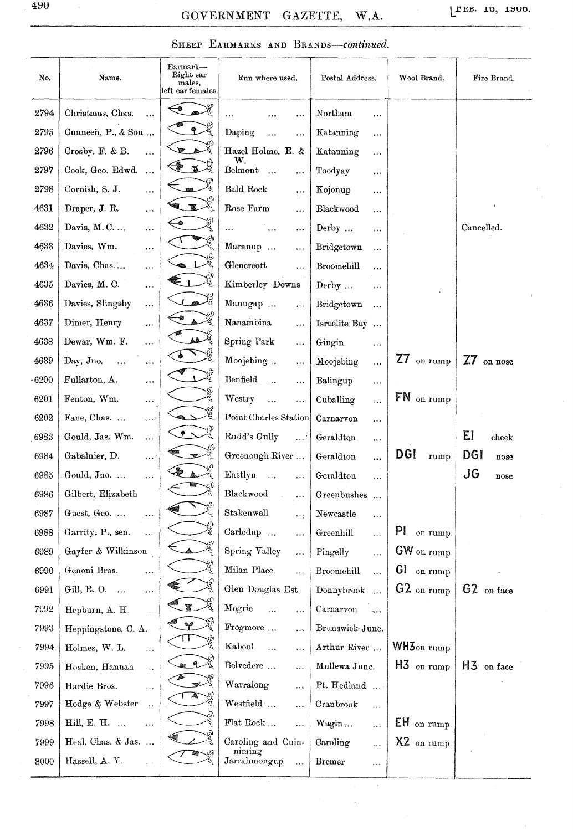### GOVERNMENT GAZETTE, W.A.

[FEB. 10, 1900.

# SHEEP EARMARKS AND BRANDS-continued.

| No.  | Name.                                         | Earmark-<br>Right ear<br>males,<br>$\operatorname{left\;earfemales.}$ | Run where used.                               | Postal Address.                   | Wool Brand.              | Fire Brand.             |
|------|-----------------------------------------------|-----------------------------------------------------------------------|-----------------------------------------------|-----------------------------------|--------------------------|-------------------------|
| 2794 | Christmas, Chas.<br>                          | -®                                                                    |                                               | Northam<br>$\cdots$               |                          |                         |
| 2795 | Cunneen, P., & Son                            |                                                                       | Daping<br>$\ddotsc$                           | Katanning<br>$\ddot{\phantom{a}}$ |                          |                         |
| 2796 | Crosby, F. & B.<br>$\ddot{\phantom{a}}$       |                                                                       | Hazel Holme, E. &                             | Katanning<br>$\cdots$             |                          |                         |
| 2797 | Cook, Geo. Edwd.<br>$\ddotsc$                 | X.                                                                    | w.<br>Belmont<br>$\cdots$<br>                 | Toodyay<br>$\ddot{\bullet}$       |                          |                         |
| 2798 | Cornish, S. J.<br>                            |                                                                       | Bald Rock<br>$\cdots$                         | Kojonup<br>$\cdots$               |                          |                         |
| 4631 | Draper, J. R.<br>$\bullet$ + $\circ$          |                                                                       | Rose Farm<br>$\cdots$                         | Blackwood<br>$\ldots$             |                          |                         |
| 4632 | Davis, $M. C. \ldots$<br>                     |                                                                       | <br>$\cdots$                                  | Derby<br>                         |                          | Cancelled.              |
| 4633 | Davies, Wm.<br>$\cdots$                       |                                                                       | Maranup<br>$\ddotsc$                          | Bridgetown<br>$\ddotsc$           |                          |                         |
| 4634 | Davis, Chas<br>$\cdots$                       |                                                                       | Glenercott<br>$\ddotsc$                       | Broomehill<br>$\cdots$            |                          |                         |
| 4635 | Davies, M. C.<br>$\ddotsc$                    |                                                                       | Kimberley Downs                               | Derby<br>$\cdots$                 |                          |                         |
| 4636 | Davies, Slingsby<br>$\ldots$                  |                                                                       | Manugap<br>$\cdots$                           | Bridgetown<br>$\ldots$            |                          |                         |
| 4637 | Dimer, Henry<br>$\ddot{\phantom{a}}$          |                                                                       | Nanamoina<br>$\ddotsc$                        | Israelite Bay<br>$\ddotsc$        |                          |                         |
| 4638 | Dewar, Wm. F.<br>$\ddot{\phantom{a}}$         |                                                                       | Spring Park<br>$\ddotsc$                      | Gingin<br>$\cdots$                |                          |                         |
| 4639 | Day, Jno.<br>0.06                             |                                                                       | Moojebing<br>$\ldots$                         | Moojebing<br>$\ldots$             | $Z7$ on rump             | $Z\overline{Z}$ on nose |
| 6200 | Fullarton, A.<br>0.05                         |                                                                       | Benfield<br>$\dddot{\phantom{0}}$<br>$\cdots$ | Balingup<br>$\ddotsc$             |                          |                         |
| 6201 | Fenton, Wm.<br>$\ldots$                       |                                                                       | Westry<br>$\ddotsc$                           | Cuballing<br>$\ddotsc$            | FN on rump               |                         |
| 6202 | Fane, Chas.<br>$\alpha$ .                     |                                                                       | Point Charles Station                         | Carnarvon<br>$\ldots$             |                          |                         |
| 6983 | Gould, Jas. Wm.<br>$\ddotsc$                  | $\bullet$                                                             | Rudd's Gully<br>$\cdots$                      | Geraldton<br>$\cdots$             |                          | EI<br>cheek             |
| 6984 | Gabalnier, D.<br>$\cdots$                     |                                                                       | Greenough River                               | Geraldton<br>                     | <b>DGI</b><br>rump       | DGI<br>nose             |
| 6985 | Gould, Jno.<br>$\cdots$                       |                                                                       | Eastlyn                                       | Geraldton<br>.                    |                          | JG<br>$_{\text{rose}}$  |
| 6986 | Gilbert, Elizabeth                            |                                                                       | Blackwood                                     | Greenbushes                       |                          |                         |
| 6987 | Guest, Geo.<br>$\cdots$                       |                                                                       | Stakenwell<br>$\ldots$                        | Newcastle<br>$\ldots$             |                          |                         |
| 6988 | Garrity, P., sen.<br>$\ldots$                 |                                                                       | Carlodup<br>$\ddotsc$                         | Greenhill<br>$\ldots$             | PI<br>on rump            |                         |
| 6989 | Gayfer & Wilkinson                            |                                                                       | Spring Valley<br>$\ddotsc$                    | Pingelly<br>$\cdots$              | $GW$ on rump             |                         |
| 6990 | Genoni Bros.<br>$\ddotsc$                     | ધુ                                                                    | Milan Place<br>$\cdots$                       | Broomehill<br>$\ldots$            | Gl on rump               |                         |
| 6991 | Gill, R. O.<br>$\dots$                        |                                                                       | Glen Douglas Est.                             | Donnybrook<br>$\ldots$            | $62$ on rump             | G2 on face              |
| 7992 | Hepburn, A. H.                                |                                                                       | Mogrie<br>$\ddotsc$<br>$\ldots$               | Carnarvon<br>$\sim$               |                          |                         |
| 7993 | Heppingstone, C. A.                           | $\bullet \rho$                                                        | Frogmore<br>$\mathcal{L}(\mathcal{A})$        | Brunswick June.                   |                          |                         |
| 7994 | Holmes, W. L.<br>.                            | $\mathbf{1}$                                                          | Kabool<br>$\cdots$<br>$\ldots$                | Arthur River                      | $WHZ$ <sub>on rump</sub> |                         |
| 7995 | Hosken, Hannah<br>$\bar{\tau}$ , $\bar{\tau}$ | $\mathbf{R}$                                                          | Belvedere<br>$\mathbf{r}$                     | Mullewa Junc.                     | $H3$ on rump             | $H_3$ on face           |
| 7996 | Hardie Bros.<br>ia.                           |                                                                       | Warralong<br>$\ldots$                         | Pt. Hedland                       |                          |                         |
| 7997 | Hodge & Webster<br>$\sim$ .                   | A                                                                     | Westfield<br>$\ddotsc$                        | Cranbrook<br>.                    |                          |                         |
| 7998 | Hill, E. H.<br>$\ldots$                       |                                                                       | Flat Rock<br>$\ddotsc$                        | $Wagin$<br>.                      | EH on rump               |                         |
| 7999 | Heal, Chas. & Jas.                            |                                                                       | Caroling and Cuin-<br>niming                  | Caroling<br>$\cdots$              | $X2$ on rump             |                         |
| 8000 | Hassell, A. Y.<br>$\bar{\mathbf{z}}$ .        |                                                                       | Jarrahmongup<br>$\ldots$                      | <b>Bremer</b><br>$\ldots$         |                          |                         |
|      |                                               |                                                                       |                                               |                                   |                          |                         |

 $\lambda$ 

 $\bar{z}$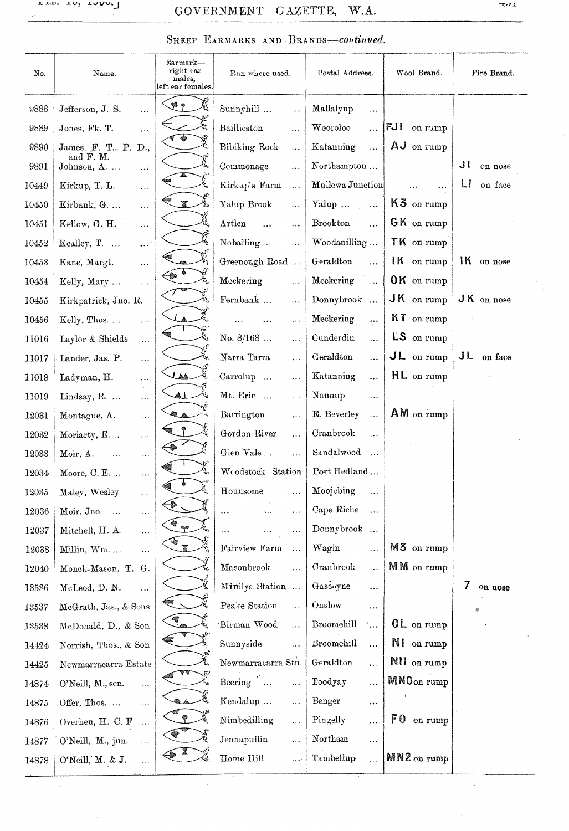### GOVERNMENT GAZETTE, W.A.

#### SHEEP EARMARKS AND BRANDS-continued.

| No.   | Name.                                     | Earmark—<br>right ear<br>males,<br>left ear females. | Run where used.                  | Postal Address.                                                 | Wool Brand.            | Fire Brand.   |
|-------|-------------------------------------------|------------------------------------------------------|----------------------------------|-----------------------------------------------------------------|------------------------|---------------|
| 9888  | Jefferson, J. S.<br>$\ddotsc$             | م پي                                                 | Sunnyhill<br>$\cdots$            | Mallalyup<br>$\cdots$                                           |                        |               |
| 9889  | Jones, Fk. T.<br>.                        |                                                      | Baillieston<br>$\ddotsc$         | Wooroloo<br>.                                                   | <b>FJI</b> on rump     |               |
| 9890  | James, F. T., P. D.,<br>and F. M.         | 燮                                                    | Bibiking Rock<br>$\ddotsc$       | Katanning<br>$\ddotsc$                                          | AJ on rump             |               |
| 9891  | Johnson, A.<br>$\ldots$                   |                                                      | Commonage<br>$\cdots$            | Northampton                                                     |                        | JI<br>on nose |
| 10449 | $\frac{1}{2}$<br>Kirkup, T. L.            |                                                      | Kirkup's Farm<br>$\ldots$        | Mullewa Junction                                                | .                      | LI<br>on face |
| 10450 | Kirbank, G.<br>$\ldots$                   |                                                      | Yalup Brook<br>$\ddotsc$         | Yalup $\ldots$<br>$\bar{\mathcal{A}}$ .                         | $K3$ on rump           |               |
| 10451 | Kellow, G. H.<br>$\ddotsc$                |                                                      | Artlen<br>$\ddotsc$<br>$\ddotsc$ | Brookton<br>$\ddotsc$                                           | GK on rump             |               |
| 10452 | Kealley, T.<br>$\sim 10^7$                |                                                      | Noballing<br>$\ddotsc$           | Woodanilling                                                    | TK on rump             |               |
| 10453 | Kane, Margt.<br>$\ldots$                  |                                                      | Greenough Road                   | Geraldton<br>$\ddotsc$                                          | IK on rump             | IK on mose    |
| 10454 | Kelly, Mary<br>$\ddotsc$                  |                                                      | Meckering<br>$\ddotsc$           | Meckering<br>$\ddotsc$                                          | $0K$ on rump           |               |
| 10455 | Kirkpatrick, Jno. R.                      |                                                      | Fernbank<br>$\ldots$             | Donnybrook                                                      | $JK$ on rump           | JK on nose    |
| 10456 | Kelly, Thos.<br>$\ddotsc$                 |                                                      | $\ldots$                         | Meckering<br>$\cdots$                                           | KT on rump             |               |
| 11016 | Laylor & Shields<br>$\ldots$              |                                                      | No. 8/168<br>$\cdots$            | Cunderdin<br>.                                                  | $LS$ on rump           |               |
| 11017 | Lander, Jas. P.<br>$\ldots$               |                                                      | Narra Tarra<br>$\ddotsc$         | Geraldton<br>.                                                  | $J L$ on rump          | JL on face    |
| 11018 | Ladyman, H.<br>$\ddotsc$                  | Ê<br>LAA                                             | Carrolup<br>$\cdots$             | Katanning<br>L,                                                 | $HL$ on rump           |               |
| 11019 | Lindsay, R.<br>$\ddotsc$                  | $\tilde{\mathcal{Q}}_k$                              | Mt. Erin<br>$\ddotsc$            | Nannup<br>$\ddotsc$                                             |                        |               |
| 12031 | Montague, A.<br>$\ddotsc$                 |                                                      | Barrington<br>.                  | E. Beverley<br>$\ddotsc$                                        | AM on rump             |               |
| 12032 | Moriarty, E<br>$\ldots$                   |                                                      | Gordon River<br>$\ldots$         | Cranbrook<br>$\ddotsc$                                          |                        |               |
| 12033 | Moir, A.<br>$\ddotsc$<br>$\ldots$         |                                                      | Glen Vale<br>$\ddotsc$           | Sandalwood<br>$\dddotsc$                                        |                        |               |
| 12034 | Moore, C. E.<br>$\ldots$                  |                                                      | Woodstock Station                | Port Hedland                                                    |                        |               |
| 12035 | Maley, Wesley<br>$\cdots$                 |                                                      | Hounsome<br>$\ldots$             | Moojebing<br>$\ddotsc$                                          |                        |               |
| 12036 | Moir, Jno.<br>$\sim$<br>$\ldots$          | ಾ                                                    | $\cdots$<br>$\ldots$             | Cape Riche<br>$\dddotsc$                                        |                        |               |
| 12037 | Mitchell, H. A.<br>$\ldots$               | еp                                                   | $\ldots$<br>.<br>.               | Donnybrook                                                      |                        |               |
| 12038 | Millin, Wm. $\dots$<br>$\ldots$           | S.<br>$\mathbb{Z}$                                   | Fairview Farm<br>$\ddotsc$       | Wagin<br>$\ddotsc$                                              | M3 on rump             |               |
| 12040 | Monck-Mason, T. G.                        |                                                      | Masonbrook<br>                   | ${\bf Cranbrook}$<br>$\ddotsc$                                  | MM on rump             |               |
| 13536 | McLeod, D. N.<br>$\ldots$                 |                                                      | Minilya Station                  | Gascoyne<br>                                                    |                        | 7<br>on nose  |
| 13537 | McGrath, Jas., & Sons                     |                                                      | Peake Station<br>$\ddotsc$       | Onslow<br>$\ddotsc$                                             |                        |               |
| 13538 | McDonald, D., & Son                       | $\sum_{i=1}^{n}$                                     | Birman Wood<br>$\ddotsc$         | ${\bf Broomehill}$<br>$\mathcal{F}_{\bullet\bullet\bullet}$     | OL on rump             |               |
| 14424 | Norrish, Thos., & Son                     |                                                      | Sunnyside<br>$\ddotsc$           | ${\bf Broomehill}$<br>$\ddotsc$                                 | NI on rump             |               |
| 14425 | Newmarracarra Estate                      |                                                      | Newmarracarra Stn.               | $\label{eq:1} \operatorname{Geraldton}$<br>$\ddot{\phantom{a}}$ | NII on rump            |               |
| 14874 | O'Neill, M., sen.<br>$\ldots$             |                                                      | Beering<br>$\cdots$              | Toodyay<br>$\cdots$                                             | MNO <sub>on</sub> rump |               |
| 14875 | Offer, Thos.<br>$\bar{\bar{\psi}}$ .      |                                                      | Kendalup<br>$\cdots$             | Benger<br>                                                      |                        |               |
| 14876 | Overheu, H. C. F.                         |                                                      | Nimbedilling<br>                 | Pingelly<br>.                                                   | $F0$ on rump           |               |
| 14877 | O'Neill, M., jun.<br>$\ddot{\phantom{a}}$ |                                                      | Jennapullin<br>÷٠,               | Northam<br>                                                     |                        |               |
| 14878 | O'Neill, M. & J.<br>$\ldots$              |                                                      | Home Hill<br>$\cdots$            | Tambellup<br>$\cdots$                                           | MN2 on rump            |               |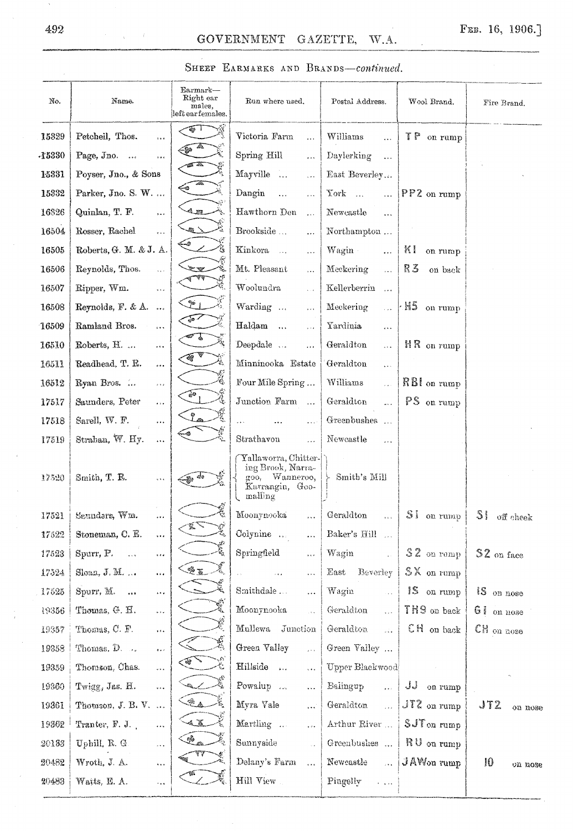| No.   | Name.                                                 | $\rm{Earmark}-$<br>Right ear<br>males,<br>left earfemales. | Run where used.                                                                           | Postal Address.                                         | Wool Brand.              | Fire Brand.    |
|-------|-------------------------------------------------------|------------------------------------------------------------|-------------------------------------------------------------------------------------------|---------------------------------------------------------|--------------------------|----------------|
| 15329 | Petchell, Thos.<br>$\ddot{\circ}$ .                   | ارجة                                                       | Victoria Farm<br>$\overline{\phantom{a}}$                                                 | Williams<br>$\dddotsc$                                  | TP on rump               |                |
| 15330 | Page, Jno.<br>$\ddot{\phantom{a}}$                    | llo.<br>-len                                               | Spring Hill<br>$\ddot{\phantom{0}}$                                                       | Daylerking<br>$\ldots$                                  |                          |                |
| 15331 | Poyser, Jno., & Sons                                  |                                                            | Mayville<br>$\cdots$                                                                      | East Beverley                                           |                          |                |
| 15332 | Parker, Jno. S. W.                                    | ఈ                                                          | Dangin<br>$\ddotsc$<br>.                                                                  | York<br>$\overline{\mathcal{L}}$                        | $PP2$ on rump            |                |
| 16326 | Quinlan, T. F.<br>$\mathbf{p} \bullet \mathbf{z}$     | 4. m                                                       | Hawthorn Den<br>$\ddot{\phantom{a}}$                                                      | Newcastle<br>$\cdots$                                   |                          |                |
| 16504 | Rosser, Rachel<br>$\hat{\mathbf{r}}$ is a             | 電く                                                         | Brookside<br>                                                                             | Northampton                                             |                          |                |
| 16505 | Roberts, G. M. & J. A.                                |                                                            | Kinkora<br>$\cdots$                                                                       | Wagin<br>$\ddotsc$                                      | KI<br>on rump            |                |
| 16506 | Reynolds, Thos.<br>$\bar{\lambda}$ is $\bar{\lambda}$ |                                                            | Mt. Pleasant<br>$\ddotsc$                                                                 | Meckering<br>$\mathbb{R}^{2}$                           | R3<br>on back            |                |
| 16507 | Ripper, Wm.<br>$\overline{\mathbf{z}}$                |                                                            | Woolundra<br>$\epsilon > 1$                                                               | Kellerberrin<br>$\sim$                                  |                          |                |
| 16508 | Reynolds, $F. & A.$                                   | $\mathcal{I}^{\mathbf{s}}$ i                               | Warding<br>$\ldots$                                                                       | Meckering<br>$\sim$ $\sim$                              | $\mathbf{AB}$ on rump    |                |
| 16509 | Ramland Bros.<br>$\ldots$                             | $\mathbb{Z}$                                               | $\operatorname{Haldam}$<br>$\tilde{\mathbf{z}}$ is a                                      | Yardinia<br>$\ddotsc$                                   |                          |                |
| 16510 | Roberts, H.<br>$\ldots$                               |                                                            | Deepdale<br>$\ddotsc$                                                                     | Geraldton<br>$\overline{\mathcal{L}}$                   | $HR$ on rump             |                |
| 16511 | Readhead, T. R.<br>$\cdots$                           | 磅                                                          | Minninooka Estate                                                                         | Geraldton<br>$\ddotsc$                                  |                          |                |
| 16512 | Ryan Bros.<br>$\bar{b}$ and                           |                                                            | Four Mile Spring                                                                          | Williams<br>$\bar{\tau}$ .                              | $RBI$ on rump            |                |
| 17517 | Saunders, Peter<br>$\overline{\mathbf{r}}$ is a       | $\mathcal{O}$                                              | Junction Farm                                                                             | Geraldton<br>$\mathbf{r}$                               | PS on rump               |                |
| 17518 | Sarell, W. F.<br>$\ldots$                             |                                                            | $\ddotsc$                                                                                 | Greenbushes                                             |                          |                |
| 17519 | Strahan, W. Hy.<br>$\ldots$                           |                                                            | Strathavon<br>$\cdots$                                                                    | Newcastle<br>.                                          |                          |                |
| 17520 | Smith, T. B.<br>$\alpha + \epsilon$                   |                                                            | Yallaworra, Chitter-<br>ing Brook, Narra-<br>goo, Wanneroo,<br>Karrangin, Goo-<br>malling | Smith's Mill                                            |                          |                |
| 17521 | Saunders, Wm.<br>$\cdots$                             | ૺ<br>Ψ,                                                    | Moonynooka<br>                                                                            | Geraldton                                               | SI on rump               | $S1$ off cheek |
| 17522 | Stoneman, C. E.<br>$\cdots$                           | $\mathscr{F}_{\mathscr{L}}$                                | Colynine<br>.                                                                             | Baker's Hill                                            |                          |                |
| 17528 | Spurr, P.<br>$\frac{1}{2}$ , $\frac{1}{2}$<br>1.14    |                                                            | Springfield<br>$\frac{1}{2}$                                                              | Wagin<br>g).                                            | $$2$ on rump             | S2 on face     |
| 17524 | Sloan, J. M.<br>$\ldots$                              | مي<br>ميراني<br>25                                         | $\sim$ 4<br>$\cdots$                                                                      | East<br>Beverley                                        | $S X$ on rump            |                |
| 17525 | Spurr, M.<br>$\frac{1}{2}$<br>$\epsilon + \epsilon$   | 鳳                                                          | Smithdale<br>                                                                             | Wagin<br>i.<br>Hei                                      | 1S on rump               | IS on nose     |
| 19356 | Thomas, G. H.<br>$\omega_{\rm{max}}$                  | 嚎                                                          | Moonynooka<br>$\ddotsc$                                                                   | Geraldton<br>$\frac{1}{2}$                              | TH9 on back              | GI on nose     |
| 19357 | Thomas, C. F.<br>$\ldots$                             |                                                            | Mullewa Junction                                                                          | Geraldton<br>$\frac{1}{2}$                              | CH on back               | CH on nose     |
| 19358 | Thomas, D.<br>$\hat{\sigma}$ is $\hat{\sigma}$        | đ,                                                         | Green Valley<br>$\frac{1}{2}$ is a                                                        | Green Valley                                            |                          |                |
| 19359 | Thomson, Chas.<br>$\bar{\mathbf{v}}$ .                | $\mathbf{w}_i$                                             | Hillside<br>e e s                                                                         | Upper Blackwood                                         |                          |                |
| 19360 | Twigg, Jas. H.<br>$\ddotsc$                           |                                                            | Powalup<br>.                                                                              | Balingup<br>$\frac{1}{2}$                               | JJ on rump               |                |
| 19361 | Thouson, J. B. V.                                     | $\mathcal{L}_{\mathbb{A}}$ .                               | Myra Vale<br>$\cdots$                                                                     | Geraldton<br>$\mathbf{r}$                               | $JT2$ on rump            | JT2<br>on nose |
| 19862 | Tranter, F. J.<br>$\ldots$                            | 4 X                                                        | Martling<br>.                                                                             | Arthur River                                            | $SJT$ <sub>on</sub> rump |                |
| 20133 | Uphill, R. G.<br>$\bar{\mathcal{A}}$ .                | ł,<br>G.                                                   | Sunnyside<br>$\sim$ $\star$                                                               | Greenbushes                                             | $\parallel$ RU on rump   |                |
| 20482 | Wroth, J. A.<br>$\ldots$                              |                                                            | Delany's Farm<br>$\ddot{\cdots}$                                                          | Newcastle<br>$\bar{\mathbf{r}}$                         | JAW <sub>on</sub> rump   | Ю<br>on nose   |
| 20483 | Watts, E. A.<br>rica.                                 |                                                            | Hill View                                                                                 | Pingelly<br>$\hat{\mathbf{v}}$ , $\hat{\mathbf{v}}$ and |                          |                |
|       |                                                       |                                                            |                                                                                           |                                                         |                          |                |

#### SHEEP EARMARKS AND BRANDS-continued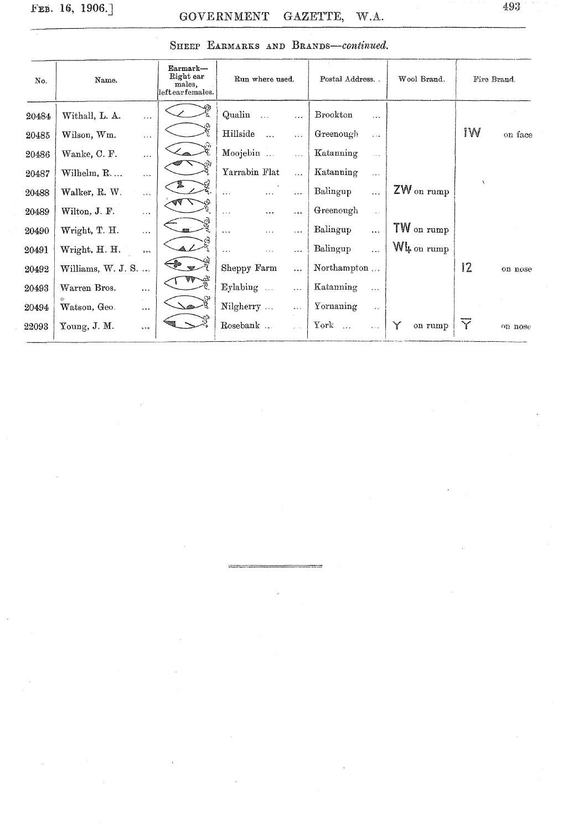| No.   | Name.                                    | Earmark-<br>Right ear<br>males.<br>leftearfemales. | Run where used.                   |                              | Wool Brand.     | Fire Brand. |         |
|-------|------------------------------------------|----------------------------------------------------|-----------------------------------|------------------------------|-----------------|-------------|---------|
| 20484 | Withall, L. A.<br>$\ldots$               |                                                    | Qualin<br>$\ddotsc$<br>$\ddotsc$  | Brookton<br>$\ldots$         |                 |             |         |
| 20485 | Wilson, Wm.<br>$\cdots$                  |                                                    | Hillside<br>$\ddotsc$<br>$\cdots$ | Greenough<br>مده             |                 | IW          | on face |
| 20486 | Wanke, C. F.<br>$\cdots$                 |                                                    | Moojebin<br>$\cdots$              | Katanning<br>$\sim$          |                 |             |         |
| 20487 | Wilhelm, R<br>$\cdots$                   |                                                    | Yarrabin Flat<br>$\cdots$         | Katanning<br>$\cdots$        |                 |             |         |
| 20488 | Walker, R. W.<br>$\epsilon$ , $\epsilon$ |                                                    | $\ldots$<br>$\cdots$<br>$\cdots$  | Balingup<br>$\ddotsc$        | $ZW$ on rump    | À           |         |
| 20489 | Wilton, J. F.<br>$\cdots$                |                                                    | $\cdots$<br>$\cdots$<br>0.90      | Greenough<br>$\sim$ $\sim$   |                 |             |         |
| 20490 | Wright, T. H.<br>$\cdots$                |                                                    | $\cdots$<br>$\cdots$<br>$\cdots$  | Balingup<br>$\cdots$         | TW on rump      |             |         |
| 20491 | Wright, H. H.<br>.<br>a o c              |                                                    | .<br>$\cdots$<br>.                | Balingup<br>$\cdots$         | $W_{k}$ on rump |             |         |
| 20492 | Williams, W. J. S.                       |                                                    | Sheppy Farm<br>$\ddotsc$          | Northampton                  |                 | 12          | on nose |
| 20493 | Warren Bros.<br>$\ldots$                 |                                                    | Eylabing<br>$\sim$ .<br>$\cdots$  | Katanning<br>$\cdots$        |                 |             |         |
| 20494 | Watson, Geo.<br>0.9.6                    |                                                    | Nilgherry<br>$\alpha$ is a        | Yornaning<br>$\rightarrow$   |                 |             |         |
| 22093 | Young, J. M.<br>$\frac{1}{6}$ is a       |                                                    | Rosebank                          | York<br>$\alpha \sim \alpha$ | Y<br>on rump    | Y           | on nose |

### SHEEP EARMARKS AND *BRANDs-continued.*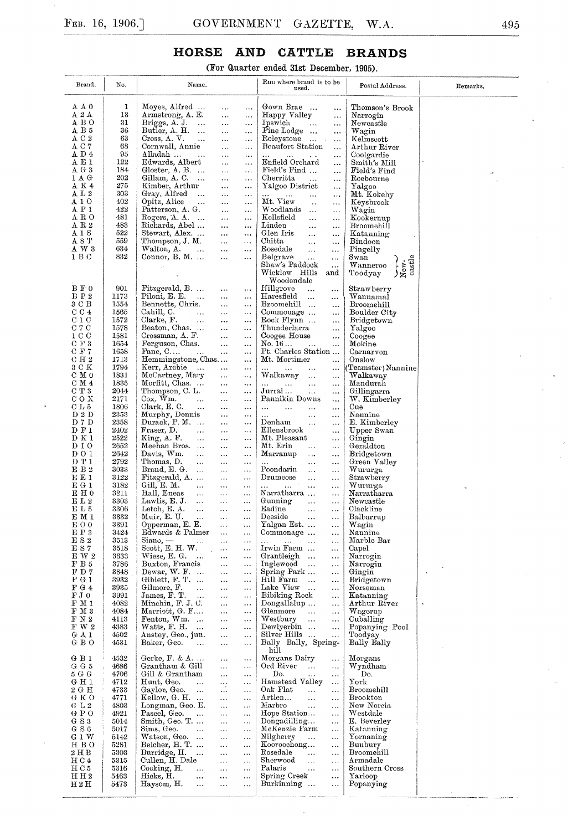(For Quarter ended 31st December, 1905).

| Brand,                               | No.          | Name.                                                  |                                                 | Run where brand is to be<br>used.                                                    | Postal Address.                                                                | Remarks.             |
|--------------------------------------|--------------|--------------------------------------------------------|-------------------------------------------------|--------------------------------------------------------------------------------------|--------------------------------------------------------------------------------|----------------------|
| AΑO                                  | 1            | Moyes, Alfred                                          |                                                 | Gown Brae                                                                            | Thomson's Brook                                                                |                      |
| $\rm A~2~A$                          | 13           | Armstrong, A. E.                                       | $\cdots$<br>$\ldots$<br>$\cdots$<br>$\ddotsc$   | <br>Happy Valley<br>$\cdots$                                                         | Narrogin                                                                       |                      |
| $A$ B O                              | 31           | Briggs, $A$ . J.                                       | $\ddotsc$<br>$\ddotsc$                          | Ipswich<br>$\ddotsc$<br>                                                             | Newcastle                                                                      |                      |
| AB5                                  | 36           | Butler, A. H.<br>$\cdots$                              | $\ddotsc$<br>$\ddotsc$                          | Pine Lodge<br>$\cdots$                                                               | Wagin                                                                          |                      |
| A C 2<br>A C 7                       | 63<br>68     | Cross, A.V.<br>$\sim$ .<br>Cornwall, Annie             | $\ddotsc$<br>$\cdots$<br>$\ddotsc$<br>$\ldots$  | Roleystone<br>$\ldots$<br>Beaufort Station<br>$\ddotsc$                              | $\operatorname{Kelmscott}$<br>Arthur River                                     |                      |
| A D 4                                | 95           | Alladah                                                | $\cdots$<br>$\cdots$                            | $\sim 10^{-11}$<br>$\ldots$<br>$\ldots$                                              | Coolgardie                                                                     |                      |
| A E 1                                | 122          | Edwards, Albert                                        | $\ldots$<br>$\ldots$                            | Enfield Orchard<br>$\cdots$                                                          | $\rm Smith's\ Mill$                                                            |                      |
| A G 3<br>1 A G                       | 184<br>202   | Gloster, A. B. $\,\ldots\,$<br>Gillam, A. C.<br>$\sim$ | $\cdots$<br>$\cdots$                            | Field's Find<br>$\ddotsc$<br>Cherritta                                               | Field's Find<br>Roebourne                                                      |                      |
| $\mathtt{A} \mathtt{K}$ 4            | 275          | Kimber, Arthur                                         | $\ddotsc$<br>$\cdots$<br>$\ldots$<br>$\ldots$   | $\ddotsc$<br>$\ddotsc$<br>Yalgoo District<br>$\cdots$                                | Yalgoo                                                                         |                      |
| ${\tt A\;L\;2}$                      | 303          | Gray, Alfred<br>$\cdots$                               | $\ddotsc$<br>$\ldots$                           | $\cdots$<br>$\ldots$<br>$\ldots$<br>$\ddotsc$                                        | Mt. Kokeby                                                                     |                      |
| A 1 O<br>A P 1                       | 402<br>422   | Opitz, Alice<br>$\cdots$                               | $\ddotsc$<br>$\cdots$                           | Mt. View<br>$\ddotsc$<br>$\cdots$                                                    | Keysbrook                                                                      |                      |
| A R O                                | 481          | Patterson, A. G.<br>Rogers, $A. A.$                    | $\ddotsc$<br>$\ddotsc$<br>$\ldots$<br>$\ddotsc$ | Woodlands<br>$\ldots$<br>$\ldots$<br>Kellsfield<br>$\ddotsc$<br>$\ddotsc$            | Wagin<br>Kookernup                                                             |                      |
| $\rm A~R~2$                          | 483          | Richards, Abel                                         | $\ldots$<br>$\cdots$                            | Linden<br>$\ddotsc$<br>$\cdots$                                                      | Broomehill                                                                     |                      |
| A 1 S                                | 522          | Stewart, Alex                                          | $\ddotsc$<br>$\cdots$                           | Glen Iris<br>$\cdots$<br>$\ldots$                                                    | Katanning                                                                      |                      |
| A 8 T<br>A W 3                       | 559<br>634   | Thompson, J. M.<br>Walton, A.<br>$\sim 100$            | $\ldots$<br>$\cdots$<br>$\ddotsc$<br>$\cdots$   | Chitta<br>$\ddotsc$<br>$\ddotsc$<br>Rosedale<br>$\ddotsc$                            | Bindoon<br>Pingelly                                                            |                      |
| 1 B C                                | 832          | Connor, $B. M. \ldots$                                 | $\ddotsc$<br>$\ddotsc$                          | $\ddotsc$<br>Belgrave<br>$\cdots$<br>$\cdots$                                        | Swan                                                                           |                      |
|                                      |              |                                                        |                                                 | Shaw's Paddock<br>                                                                   | castle<br>$\left\{\begin{matrix} 1 \\ 2 \\ 3 \end{matrix}\right\}$<br>Wanneroo |                      |
|                                      |              |                                                        |                                                 | Wicklow Hills<br>and<br>Woodendale                                                   | Toodyay                                                                        |                      |
| B F 0                                | 901          | Fitzgerald, B.                                         | $\ldots$<br>$\ldots$                            | Hillgrove<br>$\ddotsc$<br>$\ddotsc$                                                  | Strawberry                                                                     |                      |
| B P 2                                | 1173         | Piloni, E. E.<br>$\cdots$                              | $\cdots$<br>$\ldots$                            | Haresfield<br>$\mathbf{r}$ .<br>.                                                    | Wannamal                                                                       |                      |
| 3 C B                                | 1554         | Bennetts, Chris.                                       | $\ddotsc$<br>$\ddotsc$                          | Broomehill<br>$\cdots$                                                               | Broomehill                                                                     |                      |
| C C 4<br>C1C                         | 1565<br>1572 | Cahill, C.<br>$\ddotsc$<br>Clarke, F.<br>$\ddotsc$     | $\ldots$<br>$\cdots$<br><br>$\ldots$            | Commonage<br>$\ddotsc$<br>Rock Flynn<br>$\cdots$                                     | Boulder City<br>Bridgetown                                                     |                      |
| C 7 C                                | 1578         | Beaton, Chas                                           | $\ddotsc$<br>$\cdots$                           | Thunderlarra<br>.                                                                    | Yalgoo                                                                         |                      |
| 1 C C                                | 1581         | Crossman, A. F.                                        | $\ddotsc$<br>$\ddotsc$                          | Coogee House<br>$\ddotsc$                                                            | Coogee                                                                         |                      |
| C F 3<br>$C$ F $7$                   | 1654<br>1658 | Ferguson, Chas.<br>Fane, $C_{\cdots}$                  | $\ddotsc$<br>$\ldots$<br>$\cdots$               | No. 16<br>$\cdots$<br>$\ddotsc$<br>Pt. Charles Station                               | Mokine<br>Carnarvon                                                            |                      |
| C H 2                                | 1713         | Hemmingstone, Chas                                     | $\ldots$<br>$\cdots$                            | Mt. Mortimer<br>$\ddotsc$                                                            | Onslow                                                                         |                      |
| 3 C K                                | 1794         | Kerr, Archie<br>$\sim$                                 | $\cdots$<br>$\ldots$                            | and the same state<br>$\ddotsc$<br>$\ldots$                                          | (Teamster) Nannine                                                             |                      |
| C M 0<br>C M 4                       | 1831<br>1835 | McCartney, Mary                                        | $\ldots$<br>$\ldots$                            | Walkaway<br>$\ddotsc$<br>$\cdots$                                                    | Walkaway                                                                       |                      |
| C T 3                                | 2044         | Morfitt, Chas<br>Thompson, C. L.                       | $\cdots$<br>$\ddotsc$<br>$\ldots$<br>           | $\cdots$<br>$\sim 100$<br>$\ddotsc$<br>$\ddotsc$<br>Jurral …<br>$\cdots$<br>$\ldots$ | Mandurah<br>Gillingarra                                                        |                      |
| COX                                  | 2171         | $\cos, W_{m}$<br>$\ddotsc$                             | $\cdots$<br>$\cdots$                            | Pannikin Downs<br>$\ddotsc$                                                          | W. Kimberley                                                                   |                      |
| C L 5                                | 1806         | Clark, E.C.<br>$\sim$ .                                | $\ddotsc$<br>$\cdots$                           | $\cdots$<br>$\sim 100$ km $^{-1}$<br>$\ddotsc$<br>$\cdots$                           | Cue                                                                            |                      |
| D 2 D<br>D 7 D                       | 2353<br>2358 | Murphy, Dennis<br>Durack, P.M.                         | $\cdots$<br>$\cdots$<br>$\ldots$<br>$\cdots$    | $\ldots$<br>$\ddotsc$<br>$\ldots$<br>Denham<br>$\ddotsc$<br>$\ldots$                 | Nannine<br>E. Kimberley                                                        |                      |
| D F 1                                | 2402         | Fraser, D.<br>$\cdots$                                 | $\ldots$<br>$\epsilon$ , $\epsilon$             | Ellensbrook<br>$\ddotsc$                                                             | Upper Swan                                                                     |                      |
| D K 1                                | 2522         | King, A. F.<br>$\ddotsc$                               | $\ldots$<br>$\cdots$                            | Mt. Pleasant<br>$\ldots$                                                             | Gingin                                                                         |                      |
| DIO<br>DO 1                          | 2652<br>2642 | Meehan Bros.<br>Davis, Wm.<br>$\ddotsc$                | $\ldots$<br>$\cdots$<br>$\ddotsc$<br>$\cdots$   | Mt. Erin<br>$\ddotsc$<br>$\ldots$<br>Marranup<br>$\sim$<br>$\ddotsc$                 | Geraldton<br>Bridgetown                                                        |                      |
| D T 1                                | 2792         | Thomas, D.<br>$\ddotsc$                                | $\ddotsc$<br>$\cdots$                           | $\cdots$<br>$\cdots$<br>$\cdots$                                                     | Green Valley                                                                   |                      |
| E B 2                                | 3033         | Brand, E. G.<br>$\ddotsc$                              | $\ddotsc$<br>                                   | Poondarin<br>$\ldots$<br>$\ldots$                                                    | Wururga                                                                        |                      |
| E E 1<br>E G 1                       | 3122<br>3182 | Fitzgerald, A.<br>Gill, E. M.<br>$\sim 10$             | $\cdots$<br>$\ddotsc$<br>$\ddotsc$<br>$\cdots$  | Drumcose<br>$\ldots$<br>$\ldots$<br>$\cdots$<br>$\ddotsc$                            | Strawberry<br>Wururga                                                          |                      |
| $E$ H $0$                            | 3211         | Hall, Eneas<br>$\ldots$                                | $\cdots$<br>$\ldots$                            | $\ldots$<br>Narratharra<br>$\ldots$                                                  | Narratharra                                                                    |                      |
| $\rm E\; L\; 2$                      | 3303         | Lawlis, E. J.<br>$\ldots$                              | $\ldots$<br>$\cdots$                            | Gunning<br>$\ddotsc$<br>$\ldots$                                                     | Newcastle                                                                      |                      |
| E L 5<br>E M 1                       | 3306<br>3332 | Letch, E. A.<br>$\ddotsc$<br>Muir, E. U.<br>$\cdots$   | $\ddotsc$<br>$\cdots$<br>$\ddotsc$<br>$\cdots$  | Eadine<br>$\ddotsc$<br>$\ldots$<br>Deeside<br>$\ddotsc$                              | Clackline<br>Balbarrup                                                         |                      |
| EОO                                  | 3391         | Opperman, E. E.                                        | $\ldots$<br>$\ddotsc$                           | $\cdots$<br>Yalgan Est<br>$\cdots$                                                   | Wagin                                                                          |                      |
| E P 3                                | 3424         | Edwards & Palmer                                       | $\ldots$<br>$\ddotsc$                           | Commonage<br>$\cdots$                                                                | Nannine                                                                        |                      |
| E S 2<br>E S 7                       | 3513         | $Siano. -$<br>$\cdots$<br>Scott, E. H. W.              | $\cdots$<br>                                    | $\ddotsc$<br>$\cdots$<br>$\ddotsc$<br>$\cdots$<br>Irwin Farm                         | Marble Bar                                                                     |                      |
| E W 2                                | 3518<br>3633 | Wiese, E. G.<br>$\ddotsc$                              | $\ddotsc$<br>$\cdots$<br>$\ldots$<br>           | $\ldots$<br>Grantleigh<br>$\cdots$                                                   | Capel<br>Narrogin                                                              |                      |
| $\mathbf{F}\ \mathbf{B}\ \mathbf{5}$ | 3786         | Buxton, Francis                                        | $\ddotsc$<br>                                   | Inglewood<br>$\cdots$<br>$\ddotsc$                                                   | Narrogin                                                                       |                      |
| F D 7                                | 3848         | Dewar, W. F.                                           | $\ldots$<br>$\ldots$                            | Spring Park<br>$\cdots$<br>Hill Farm                                                 | Gingin                                                                         |                      |
| F G 1<br>F G 4                       | 3932<br>3935 | Giblett, $F. T. $<br>Gilmore, F.<br>$\ddotsc$          | $\ldots$<br>$\ddots$<br>$\cdots$<br>$\cdots$    | $\ddotsc$<br>$\cdots$<br>Lake View<br>$\ddotsc$<br>$\cdots$                          | Bridgetown<br>Norseman                                                         |                      |
| FJ0                                  | 3991         | James, F. T.<br>$\ddotsc$                              | $\ldots$<br>$\ldots$                            | Bibiking Rock<br>$\cdots$                                                            | Katanning                                                                      |                      |
| F M 1                                | 4082         | Minchin, F. J. C.                                      | $\ddotsc$<br>                                   | Dongallalup<br>$\ldots$                                                              | Arthur River                                                                   | $\ddot{\phantom{0}}$ |
| F M 3<br>F N 2                       | 4084<br>4113 | Marriott, G. F<br>Fenton, Wm.                          | $\ddotsc$<br><br>$\cdots$<br>$\cdots$           | Glenmore<br>$\ddotsc$<br>$\ldots$<br>Westbury<br>$\sim 10$<br>$\ddotsc$              | Wagerup<br>Cuballing                                                           |                      |
| F W 2                                | 4383         | Watts, F. H.<br>$\sim$                                 | $\cdots$<br>$\ddotsc$                           | Dewlyerbin<br>$\ddotsc$                                                              | Popanying Pool                                                                 |                      |
| GA1                                  | 4502         | Anstey, Geo., jun.                                     | $\ldots$<br>$\ldots$                            | Silver Hills<br>$\ldots$                                                             | Toodyay                                                                        |                      |
| G B O                                | 4531         | Baker, Geo.<br>$\ddotsc$                               | $\ldots$<br>$\cdots$                            | Bally Bally, Spring-<br>hill                                                         | Bally Bally                                                                    |                      |
| G B 1                                | 4532         | Gerke, $\mathbf{F}$ . & $\mathbf{A}$                   | $\cdots$<br>$\cdots$                            | Morgans Dairy<br>$\ldots$                                                            | Morgans                                                                        |                      |
| $G$ $G$ $5$                          | 4686         | Grantham & Gill                                        | $\sim$ $\sim$<br>$\cdots$                       | Ord River<br>$\ldots$<br>$\ddotsc$                                                   | Wyndham                                                                        |                      |
| 5 G G<br>G H 1                       | 4706<br>4712 | Gill & Grantham<br>Hunt, Geo.<br>$\cdots$              | $\ldots$<br>$\ldots$<br>$\ldots$                | Do.<br>$\ldots$<br>$\cdots$<br>Hamstead Valley<br>$\ddotsc$                          | Do.<br>York                                                                    |                      |
| 2 G H                                | 4733         | Gaylor, Geo.<br>$\ddotsc$                              | <br>$\ldots$<br>$\ldots$                        | Oak Flat<br>$\ddotsc$<br>$\ddotsc$                                                   | Broomehill                                                                     |                      |
| G K O                                | 4771         | Kellow, G. H.                                          | $\ldots$<br>$\cdots$                            | Artlen<br>$\sim$ .<br>$\bar{\omega}$ .                                               | <b>Brookton</b>                                                                |                      |
| GL <sub>2</sub><br>GPO               | 4803<br>4921 | Longman, Geo. E.<br>Pascel, Geo.<br>$\ddotsc$          | $\ldots$<br>$\ldots$                            | Marbro<br>$\ddotsc$<br>$\ddotsc$<br>Hope Station                                     | New Norcia<br>Westdale                                                         |                      |
| G S 3                                | 5014         | Smith, Geo. T.                                         | $\ddotsc$<br>$\cdots$<br>$\cdots$<br>$\cdots$   | $\ldots$<br>Dongadilling<br>$\ddotsc$                                                | E. Beverley                                                                    |                      |
| G S 6                                | 5017         | Sims, Geo.<br>$\ddotsc$                                | $\ldots$<br>$\ldots$                            | McKenzie Farm<br>$\ddotsc$                                                           | Katanning                                                                      |                      |
| $G_1$ W<br>H B O                     | 5142<br>5281 | Watson, Geo.<br>Belcher, H. T.                         | $\ddotsc$<br>$\ldots$<br>$\ddotsc$<br>$\cdots$  | Nilgherry<br>$\cdots$<br>$\ddotsc$<br>Kooroochong<br>$\ddotsc$                       | Yornaning<br>Bunbury                                                           |                      |
| $2\,\mathrm{H}\,\mathrm{B}$          | 5303         | Burridge, H.<br>$\sim$ .                               | $\cdots$<br>$\cdots$                            | Rosedale<br>$\cdots$<br>$\ldots$                                                     | Broomehill                                                                     |                      |
| H C 4                                | 5315         | Cullen, H. Dale                                        | $\cdots$<br>$\cdots$                            | Sherwood<br>$\ddotsc$<br>$\cdots$                                                    | Armadale                                                                       |                      |
| H C 5<br>H H 2                       | 5316<br>5463 | Cocking, H.<br>$\ldots$<br>Hicks, H.<br>$\ldots$       | $\ddotsc$<br>$\ldots$<br>$\cdots$               | Palaris<br>$\cdots$<br>$\ddotsc$<br>Spring Creek<br>                                 | Southern Cross<br>Yarloop                                                      |                      |
| H 2 H                                | 5473         | Haysom, H.<br>$\ddotsc$                                | $\cdots$<br>$\cdots$<br>$\ldots$                | Burkinning<br>$\ddotsc$                                                              | Popanying                                                                      |                      |
|                                      |              |                                                        |                                                 |                                                                                      |                                                                                |                      |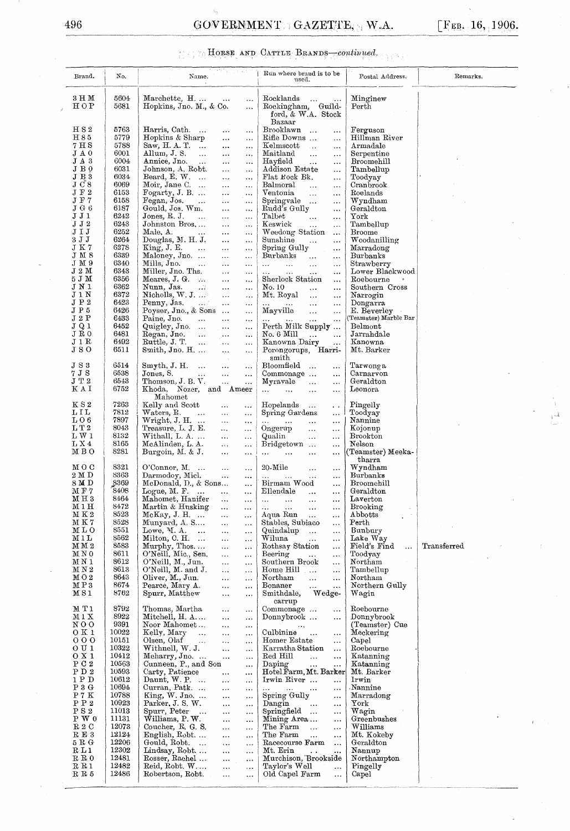## 496 GOVERNMENT GAZETTE, W.A.  $[FeB. 16, 1906.$

 $\tilde{\gamma}_3$ 

# HORSE AND CATTLE BRANDS-continued.

| Brand.                          | No.            | ਦਿਸ਼ੀ, ਪ੍ਰਕਾਰ<br>Name.                                                                                            | Run where brand is to be<br>used.                                                        | Postal Address.                                                                                                                         | Remarks.    |
|---------------------------------|----------------|-------------------------------------------------------------------------------------------------------------------|------------------------------------------------------------------------------------------|-----------------------------------------------------------------------------------------------------------------------------------------|-------------|
| 3 H M<br>HOP                    | 5604<br>5681   | Marchette, H.<br>$\sim$ $\sim$<br>Hopkins, Jno. M., & Co.<br>$\ldots$                                             | Rocklands<br>$\ldots$<br>$\sim$ .<br>Rockingham, Guild-<br>ford, & W.A. Stock            | Minginew<br>Perth                                                                                                                       |             |
| H S 2<br>H 85                   | 5763<br>5779   | Harris, Cath<br>$\ddotsc$<br>$\cdots$<br>Hopkins & Sharp<br>$\cdots$<br>$\ldots$                                  | Bazaar<br>Brooklawn<br>$\ldots$<br>Rifle Downs<br>$\ddotsc$                              | Ferguson<br>Hillman River                                                                                                               |             |
| 7 H S<br>J A 0                  | 5788<br>6001   | Saw, H. A. T.<br>$\ldots$<br>$\ldots$<br>Allum, J. S.<br>$\sim$                                                   | Kelmscott<br>$\sim$<br>$\ldots$<br>Maitland                                              | Armadale<br>Serpentine                                                                                                                  |             |
| JАЗ                             | 6004           | $\ldots$<br>$\ddotsc$<br>Annice, Jno.<br>$\ddotsc$<br>$\ddotsc$                                                   | $\ldots$<br>$\frac{1}{2}$ , $\frac{1}{2}$<br>Hayfield<br>$\ddotsc$<br>$\ldots$           | Broomehill                                                                                                                              |             |
| JВQ<br>J B3                     | 6031<br>6034   | Johnson, A. Robt.<br>$\ldots$<br>$\ldots$<br>Beard, E. W. $\dots$<br>$\ldots$<br>$\ddotsc$                        | Addison Estate<br>$\cdots$<br>Flat Rock Bk.<br>$\ldots$                                  | Tambellup<br>Toodyay                                                                                                                    |             |
| $J\overline{C}8$<br>$J \ F \ 2$ | 6069<br>6153   | Moir, Jane C.<br>$\cdots$<br>$\ddotsc$<br>Fogarty, J. B.<br>$\ldots$<br>$\cdots$                                  | Balmoral<br>$\ddotsc$<br>$\ddotsc$<br>Ventonia<br>$\ddotsc$<br>$\cdots$                  | Cranbrook<br>Roelands                                                                                                                   |             |
| J F 7<br>J G6                   | 6158<br>6187   | Fegan, Jos.<br>$\sim$ 100 $\pm$<br>$\ldots$<br>$\ldots$<br>Gould, Jos. Wm.<br>$\ddotsc$<br>$\ddotsc$              | Springvale<br>$\cdots$<br>Rudd's Gully<br>$\ddotsc$                                      | Wyndham<br>Geraldton                                                                                                                    |             |
| JJ1<br>J <sub>J</sub> 2         | 6242<br>6243   | Jones, $R$ . J.<br>$\cdots$<br>$\ddotsc$<br>Johnston Bros                                                         | Talbet<br>$\ddotsc$<br>$\ldots$<br>Keswick                                               | York                                                                                                                                    |             |
| JIJ                             | 6252           | $\ldots$<br>$\ddotsc$<br>Male, A.<br>$\sim 100$<br>$\cdots$<br>$\ddotsc$                                          | $\ddotsc$<br>$\ddotsc$<br>Weedong Station<br>$\ddotsc$                                   | Tambellup<br>$B$ roome                                                                                                                  |             |
| 3 J J<br>J K 7                  | 6264<br>6278   | Douglas, M. H. J.<br>$\ddotsc$<br>$\bar{\nu}$ , $\bar{\nu}$<br>King, J. E.<br>$\sim$<br>$\ldots$<br>$\ldots$      | Sunshine<br>$\cdots$<br>$\cdots$<br>Spring Gully<br>$\ddotsc$                            | Woodanilling<br>Marradong                                                                                                               |             |
| JM8<br>JM 9                     | 6339<br>6340   | Maloney, Jno.<br>$\cdots$<br>$\bar{\nu}$ .<br>Mills, Jno.<br>$\sim$ 100 $\pm$<br>$\cdots$<br>$\cdots$             | Burbanks<br>$\cdots$<br>$\ldots$<br>and the con-<br>$\sim 10$<br>$\ldots$<br>$\cdots$    | Burbanks<br>Strawberry                                                                                                                  |             |
| J 2 M<br>5 J M                  | 6343<br>6356   | Miller, Jno. Ths.<br>$\ldots$<br>$\cdots$<br>Meares, J. G. $\ldots$<br>$\ddotsc$<br>                              | $\cdots$<br>$\ldots$<br>$\ldots$<br>$\ddotsc$<br>Sherlock Station<br>$\cdots$            | Lower Blackwood<br>Roebourne                                                                                                            |             |
| J N 1<br>J 1 N                  | 6362<br>6372   | Nunn, Jas.<br>- 2<br>$\cdots$<br>$\ddotsc$<br>Nicholls, W. J.                                                     | No. 10<br>$\ddotsc$<br>$\ddotsc$<br>Mt. Royal                                            | Southern Cross                                                                                                                          |             |
| $\rm J\;P\;2$                   | 6423           | $\cdots$<br>$\ldots$<br>Penny, Jas.<br>المعدات.<br>المعدات<br>$\cdots$<br>$\cdots$                                | $\ddotsc$<br>$\cdots$<br>and the same<br>$\sim 10^{-1}$<br>$\ddotsc$                     | Narrogin<br>Dongarra                                                                                                                    |             |
| J P 5<br>J 2 P                  | 6426<br>6433   | Poyser, Jno., & Sons<br>$\ddotsc$<br>Paine, Jno.<br>$\sim$ .<br>$\ldots$<br>$\ldots$                              | Mayville<br>$\ldots$<br><br>and the same<br>$\ddotsc$<br>$\cdots$                        | E. Beverley<br>(Teamster) Marble Bar                                                                                                    |             |
| JQ1<br>J R 0                    | 6452<br>6481   | Quigley, Jno.<br>$\sim$ 100 $\mu$<br>$\ldots$<br>Regan, Jno.<br>$\sim$ 1000<br>$\sim$ $\sim$<br>$\ddotsc$         | Perth Milk Supply<br>No. 6 Mill<br>$\ddotsc$<br>$\ldots$                                 | ${\tt Belmont}$<br>Jarrahdale                                                                                                           |             |
| J 1 R<br>JSO                    | 6492<br>6511   | Ruttle, J. T. $\ldots$<br>$\bar{A}$ and<br>$\cdots$<br>Smith, Jno. H.<br>$\mathbf{r}_{\mathrm{max}}$<br>$\ddotsc$ | Kanowna Dairy<br>$\ddotsc$<br>Porongorups, Harri-                                        | Kanowna<br>Mt. Barker                                                                                                                   |             |
| $J\;S\;3$                       | 6514           | $\sim$<br>$Smyth, J. H. \dots$                                                                                    | smith<br>Bloomfield                                                                      | Tarwong a                                                                                                                               |             |
| 7 J S                           | 6538           | $\ldots$<br>$\ldots$<br>Jones, S.<br>$\sim$<br>$\ldots$<br>                                                       | $\ddotsc$<br>Commonage<br>$\ldots$                                                       | Carnarvon                                                                                                                               |             |
| ${\rm J}$ T $2$<br>КAI          | 6543<br>6752   | Thomson, J. B. V.<br>$\ddotsc$<br><br>Khoda, Nozer, and Ameer                                                     | Myravale<br>$\ddotsc$<br>$\ddotsc$<br>$\cdots$<br>$\sim 10^{-1}$<br>$\ldots$<br>$\ldots$ | Geraldton<br>Leonora                                                                                                                    |             |
| K S2                            | 7263           | Mahomet<br>Kelly and Scott<br>$\ddotsc$<br>$\ldots$                                                               | Hopelands<br>$\ldots$<br>$\ddot{\phantom{a}}$ .                                          | Pingelly                                                                                                                                |             |
| LIL<br>$L_{06}$                 | 7812<br>7897   | Wates, R.<br>$\sim$ 1440<br>$\ldots$<br>$\cdots$<br>Wright, J. H.<br>$\sim$ $\sim$<br>$\cdots$                    | Spring Gardens<br>$\cdots$<br>$\ddotsc$<br>$\ldots$<br>and the same of                   | Toodyay<br>Nannine                                                                                                                      |             |
| L T2<br>LW1                     | 8043<br>8132   | Treasure, L. J. E.<br>$\ldots$<br>$\ddotsc$<br>Withall, L. A.<br>$\ddotsc$<br>$\ddotsc$                           | Ongerup<br>$\cdots$<br>$\ddotsc$<br>Qualin<br>$\ldots$<br>$\cdots$                       | Kojonup<br><b>Brookton</b>                                                                                                              |             |
| L X4<br>мво                     | 8165<br>8281   | McAlinden, L.A.<br>$\ldots$<br>$\ldots$<br>Burgoin, M. & J.                                                       | Bridgetown<br>$\ldots$                                                                   | Nelson<br>(Teamster) Meeka-                                                                                                             |             |
| мос                             | 8321           | $\ddotsc$<br>$\sim$ .                                                                                             | $\ddotsc$<br>$\sim$ 100 $\pm$<br>$\cdots$<br>$\ldots$                                    | tharra<br>$\ensuremath{\mathbf{W}}\xspace\ensuremath{\mathbf{y}}\xspace\ensuremath{\mathbf{nd}}\xspace\ensuremath{\mathbf{ham}}\xspace$ |             |
| 2 M D                           | 8363           | O'Connor, $M$<br>$\ddotsc$<br>$\ddotsc$<br>Darmodoy, Miel.<br>$\ddotsc$<br>$\ddotsc$                              | $20$ -Mile<br>$\ldots$<br>$\ldots$<br>$\ddotsc$<br>$\ddotsc$<br>$\ldots$                 | Burbanks                                                                                                                                |             |
| 8 M D<br>M F 7                  | 8369<br>8408   | McDonald, D., & Sons<br>$\ddotsc$<br>Logue, M. F. $\ldots$<br>$\ddotsc$<br>$\ddotsc$                              | Birmam Wood<br>$\cdots$<br>Ellendale<br>$\cdots$<br>$\ldots$                             | <b>Broomehill</b><br>Geraldton                                                                                                          |             |
| $_{\rm M\,H\,3}$<br>MIH         | 8464<br>8472   | Mahomet, Hanifer<br>$\ddotsc$<br><br>Martin & Husking                                                             | $\ddotsc$<br>$\ldots$<br>$\ldots$<br>$\ddotsc$                                           | Laverton<br>Brooking                                                                                                                    |             |
| M K 2<br>MK7                    | 8523<br>8528   | McKay, J. H.<br>$\ldots$<br>$\ldots$<br>Munyard, A. S<br>$\ldots$<br>$\cdots$                                     | Aqua Run<br>$\sim$<br>$\ldots$<br>Stables, Subiaco<br>$\ldots$                           | Abbotts<br>Perth                                                                                                                        |             |
| MLO<br>M1L                      | 8551<br>8562   | Lowe, $M. A.$<br>$\sim$ .<br>$\ldots$<br>i.<br>Milton, C. H.<br>$\ddotsc$<br>$\ldots$                             | Quindalup<br>$\sim$ .<br>$\ldots$<br>Wiluna<br>$\cdots$<br>$\cdots$                      | Bunbury<br>Lake Way                                                                                                                     |             |
| M M 2<br>M N 0                  | 8583<br>8611   | Murphy, Thos<br>$\ddotsc$<br>$\cdots$<br>O'Neill, Mic., Sen.                                                      | Rothsay Station<br>$\ldots$<br>Beering                                                   | Field's Find<br>$\ddotsc$<br>Toodyay                                                                                                    | Transferred |
| M N 1                           | 8612           | $\ddotsc$<br>$\ddotsc$<br>O'Neill, M., Jun.<br>$\ddotsc$<br>$\cdots$                                              | $\sim$<br>$\cdots$<br>Southern Brook<br>$\ldots$                                         | Northam                                                                                                                                 |             |
| M N 2<br>MO2                    | 8613<br>8643   | O'Neill, M. and J.<br>$\bar{\mathbf{r}}$ .<br>$\ddotsc$<br>Oliver, M., Jun.<br>$\ldots$<br>$\cdots$               | Home Hill<br>$\ldots$<br>Northam<br>$\cdots$<br>$\cdots$                                 | Tambellup<br>Northam                                                                                                                    |             |
| MP3<br>MS1                      | 8674<br>8762   | Pearce, Mary A.<br>$\ddotsc$<br>$\ldots$<br>Spurr, Matthew<br>$\ddotsc$<br>$\ddotsc$                              | Bonaner<br>$\mathbf{A}$<br>$\cdots$<br>Wedge-<br>Smithdale,                              | Northern Gully<br>Wagin                                                                                                                 |             |
| M T 1                           | 8792           | Thomas, Martha<br>$\cdots$<br>                                                                                    | carrup<br>Commonage<br>$\ldots$                                                          | Roebourne                                                                                                                               |             |
| M 1 X<br>NO0                    | 8922<br>9391   | Mitchell, H. A<br>$\ddotsc$<br>$\ddotsc$<br>Noor Mahomet<br>$\ldots$<br>$\cdots$                                  | Donnybrook<br>$\ldots$                                                                   | Donnybrook<br>(Teamster) Cue                                                                                                            |             |
| 0 K 1<br>000                    | 10022<br>10151 | Kelly, Mary<br>$\ddots$<br>$\ldots$<br>$\ddotsc$<br>Olsen, Olaf                                                   | Culbinine<br>$\ddotsc$<br>$\cdots$<br>Homer Estate                                       | Meckering<br>Capel                                                                                                                      |             |
| 0 U1                            | 10322          | $\sim$<br>$\ldots$<br>$\ldots$<br>Withnell, W. J.<br>$\bar{\mathbf{z}}$ , $\bar{\mathbf{z}}$<br>$\ddotsc$         | $\ddotsc$<br>Karratha Station<br>$\ldots$                                                | Roebourne                                                                                                                               |             |
| 0 X 1<br>${\bf P}$ C $2$        | 10412<br>10563 | Meharry, Jno.<br>$\ddotsc$<br>$\ddotsc$<br>Cunneen, P., and Son<br>$\ddotsc$                                      | Red Hill<br>Geo.<br>$\ldots$<br>Daping<br>$\ddotsc$<br>                                  | Katanning<br>Katanning                                                                                                                  |             |
| ${\bf P}$ D ${\bf 2}$<br>1 P D  | 10593<br>10612 | Carty, Patience<br>$\cdots$<br>$\cdots$<br>Daunt, W. P.<br>$\cdots$<br>$\cdots$                                   | Hotel Farm, Mt. Barker<br>Irwin River<br>$\ldots$                                        | Mt. Barker<br>I <sub>rwin</sub>                                                                                                         |             |
| $P_3G$<br>$\rm P$ 7 $\rm K$     | 10694<br>10788 | Curran, Patk<br>$\ddotsc$<br>$\ldots$<br>King, W. Jno.<br>$\ddotsc$<br>$\cdots$                                   | $\mathbf{11.1}$ and $\mathbf{11.1}$<br>$\sim$<br>$\ddotsc$<br>Spring Gully<br>$\ldots$   | Nannine<br>Marradong                                                                                                                    |             |
| P P 2<br>P S 2                  | 10923<br>11013 | Parker, J. S. W.<br>$\ldots$<br>$\ldots$<br>Spurr, Peter<br>$\sim$ 4.4 $\sim$<br>$\ddotsc$<br>$\ddotsc$           | Dangin<br>$\sim$<br>$\ldots$<br>Springfield<br>$\ddotsc$                                 | ${\tt York}$<br>Wagin                                                                                                                   |             |
| P W 0                           | 11131          | Williams, P. W.<br>$\ddotsc$<br>$\ldots$                                                                          | Mining Area<br>$\ldots$                                                                  | Greenbushes                                                                                                                             |             |
| R2C<br>R E 3                    | 12073<br>12124 | Coucher, R. G. S.<br>$\ddotsc$<br>$\ldots$<br>English, $R_{\text{obt}}$<br>$\ldots$<br>$\ddotsc$                  | The Farm<br>$\cdots$<br>The Farm<br>$\ddotsc$<br>$\ddotsc$                               | Williams<br>Mt. Kokeby                                                                                                                  |             |
| 5RG<br>RL1                      | 12206<br>12302 | Gould, Robt.<br>$\sim$ 10 $\mu$<br>$\cdots$<br>$\sim$ $\sim$<br>Lindsay, Robt<br>$\ddotsc$<br>$\ldots$            | Racecourse Farm<br>$\ldots$<br>Mt. Erin<br>$\ddot{\phantom{a}}$<br>$\ldots$              | Geraldton<br>Nannup                                                                                                                     |             |
| R R 0<br>$R_{R1}$               | 12481<br>12482 | Rosser, Rachel<br>$\ddotsc$<br>$\ldots$<br>Reid, Robt. W<br>$\cdots$<br>$\ldots$                                  | Murchison, Brookside<br>Taylor's Well<br>$\ddotsc$                                       | Northampton<br>Pingelly                                                                                                                 |             |
| $\,R\,R\,5$                     | 12486          | Robertson, Robt.<br>$\cdots$<br>$\ldots$                                                                          | Old Capel Farm<br>$\ddotsc$                                                              | Capel                                                                                                                                   |             |
|                                 |                |                                                                                                                   |                                                                                          |                                                                                                                                         |             |